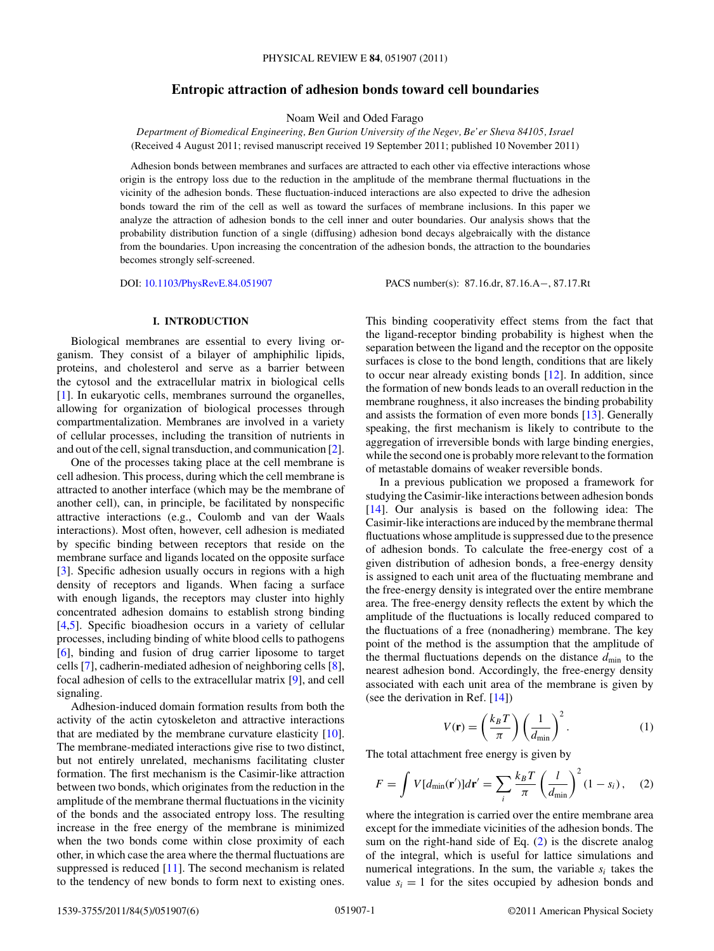# **Entropic attraction of adhesion bonds toward cell boundaries**

Noam Weil and Oded Farago

<span id="page-0-0"></span>*Department of Biomedical Engineering, Ben Gurion University of the Negev, Be'er Sheva 84105, Israel* (Received 4 August 2011; revised manuscript received 19 September 2011; published 10 November 2011)

Adhesion bonds between membranes and surfaces are attracted to each other via effective interactions whose origin is the entropy loss due to the reduction in the amplitude of the membrane thermal fluctuations in the vicinity of the adhesion bonds. These fluctuation-induced interactions are also expected to drive the adhesion bonds toward the rim of the cell as well as toward the surfaces of membrane inclusions. In this paper we analyze the attraction of adhesion bonds to the cell inner and outer boundaries. Our analysis shows that the probability distribution function of a single (diffusing) adhesion bond decays algebraically with the distance from the boundaries. Upon increasing the concentration of the adhesion bonds, the attraction to the boundaries becomes strongly self-screened.

DOI: [10.1103/PhysRevE.84.051907](http://dx.doi.org/10.1103/PhysRevE.84.051907) PACS number(s): 87*.*16*.*dr, 87*.*16*.*A−, 87*.*17*.*Rt

## **I. INTRODUCTION**

Biological membranes are essential to every living organism. They consist of a bilayer of amphiphilic lipids, proteins, and cholesterol and serve as a barrier between the cytosol and the extracellular matrix in biological cells [\[1\]](#page-4-0). In eukaryotic cells, membranes surround the organelles, allowing for organization of biological processes through compartmentalization. Membranes are involved in a variety of cellular processes, including the transition of nutrients in and out of the cell, signal transduction, and communication [\[2\]](#page-4-0).

One of the processes taking place at the cell membrane is cell adhesion. This process, during which the cell membrane is attracted to another interface (which may be the membrane of another cell), can, in principle, be facilitated by nonspecific attractive interactions (e.g., Coulomb and van der Waals interactions). Most often, however, cell adhesion is mediated by specific binding between receptors that reside on the membrane surface and ligands located on the opposite surface [\[3\]](#page-4-0). Specific adhesion usually occurs in regions with a high density of receptors and ligands. When facing a surface with enough ligands, the receptors may cluster into highly concentrated adhesion domains to establish strong binding [\[4](#page-4-0)[,5\]](#page-5-0). Specific bioadhesion occurs in a variety of cellular processes, including binding of white blood cells to pathogens [\[6\]](#page-5-0), binding and fusion of drug carrier liposome to target cells [\[7\]](#page-5-0), cadherin-mediated adhesion of neighboring cells [\[8\]](#page-5-0), focal adhesion of cells to the extracellular matrix [\[9\]](#page-5-0), and cell signaling.

Adhesion-induced domain formation results from both the activity of the actin cytoskeleton and attractive interactions that are mediated by the membrane curvature elasticity [\[10\]](#page-5-0). The membrane-mediated interactions give rise to two distinct, but not entirely unrelated, mechanisms facilitating cluster formation. The first mechanism is the Casimir-like attraction between two bonds, which originates from the reduction in the amplitude of the membrane thermal fluctuations in the vicinity of the bonds and the associated entropy loss. The resulting increase in the free energy of the membrane is minimized when the two bonds come within close proximity of each other, in which case the area where the thermal fluctuations are suppressed is reduced [\[11\]](#page-5-0). The second mechanism is related to the tendency of new bonds to form next to existing ones.

This binding cooperativity effect stems from the fact that the ligand-receptor binding probability is highest when the separation between the ligand and the receptor on the opposite surfaces is close to the bond length, conditions that are likely to occur near already existing bonds [\[12\]](#page-5-0). In addition, since the formation of new bonds leads to an overall reduction in the membrane roughness, it also increases the binding probability and assists the formation of even more bonds [\[13\]](#page-5-0). Generally speaking, the first mechanism is likely to contribute to the aggregation of irreversible bonds with large binding energies, while the second one is probably more relevant to the formation of metastable domains of weaker reversible bonds.

In a previous publication we proposed a framework for studying the Casimir-like interactions between adhesion bonds [\[14\]](#page-5-0). Our analysis is based on the following idea: The Casimir-like interactions are induced by the membrane thermal fluctuations whose amplitude is suppressed due to the presence of adhesion bonds. To calculate the free-energy cost of a given distribution of adhesion bonds, a free-energy density is assigned to each unit area of the fluctuating membrane and the free-energy density is integrated over the entire membrane area. The free-energy density reflects the extent by which the amplitude of the fluctuations is locally reduced compared to the fluctuations of a free (nonadhering) membrane. The key point of the method is the assumption that the amplitude of the thermal fluctuations depends on the distance  $d_{\min}$  to the nearest adhesion bond. Accordingly, the free-energy density associated with each unit area of the membrane is given by (see the derivation in Ref. [\[14\]](#page-5-0))

$$
V(\mathbf{r}) = \left(\frac{k_B T}{\pi}\right) \left(\frac{1}{d_{\min}}\right)^2.
$$
 (1)

The total attachment free energy is given by

$$
F = \int V[d_{\min}(\mathbf{r}')]d\mathbf{r}' = \sum_{i} \frac{k_B T}{\pi} \left(\frac{l}{d_{\min}}\right)^2 (1 - s_i), \quad (2)
$$

where the integration is carried over the entire membrane area except for the immediate vicinities of the adhesion bonds. The sum on the right-hand side of Eq. (2) is the discrete analog of the integral, which is useful for lattice simulations and numerical integrations. In the sum, the variable  $s_i$  takes the value  $s_i = 1$  for the sites occupied by adhesion bonds and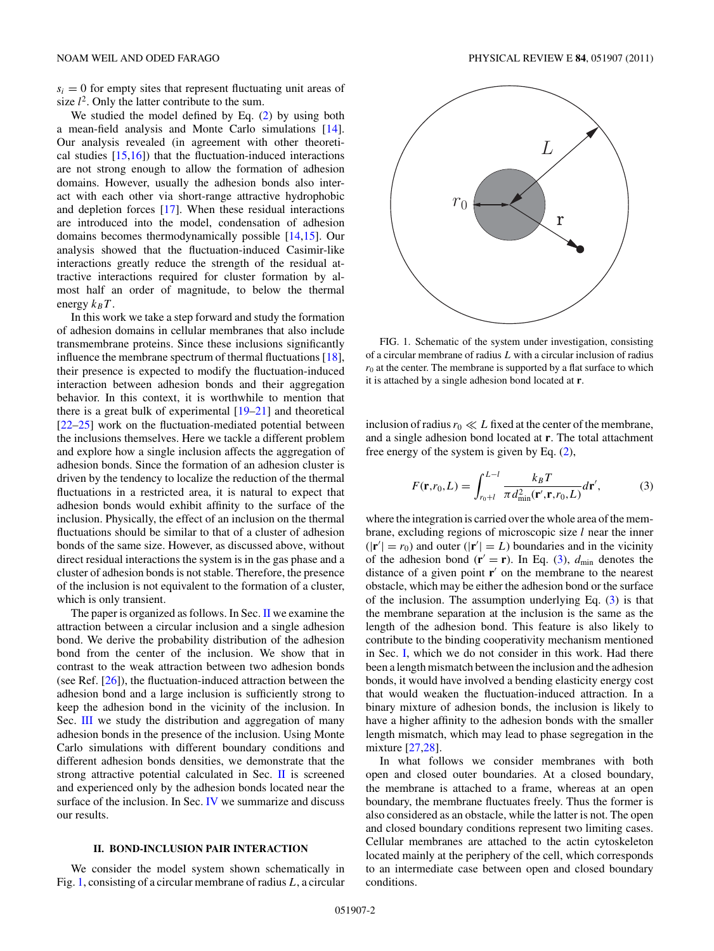<span id="page-1-0"></span> $s_i = 0$  for empty sites that represent fluctuating unit areas of size  $l^2$ . Only the latter contribute to the sum.

We studied the model defined by Eq. [\(2\)](#page-0-0) by using both a mean-field analysis and Monte Carlo simulations [\[14\]](#page-5-0). Our analysis revealed (in agreement with other theoretical studies  $[15,16]$ ) that the fluctuation-induced interactions are not strong enough to allow the formation of adhesion domains. However, usually the adhesion bonds also interact with each other via short-range attractive hydrophobic and depletion forces [\[17\]](#page-5-0). When these residual interactions are introduced into the model, condensation of adhesion domains becomes thermodynamically possible [\[14,15\]](#page-5-0). Our analysis showed that the fluctuation-induced Casimir-like interactions greatly reduce the strength of the residual attractive interactions required for cluster formation by almost half an order of magnitude, to below the thermal energy  $k_BT$ .

In this work we take a step forward and study the formation of adhesion domains in cellular membranes that also include transmembrane proteins. Since these inclusions significantly influence the membrane spectrum of thermal fluctuations [\[18\]](#page-5-0), their presence is expected to modify the fluctuation-induced interaction between adhesion bonds and their aggregation behavior. In this context, it is worthwhile to mention that there is a great bulk of experimental [\[19–21\]](#page-5-0) and theoretical [\[22–25\]](#page-5-0) work on the fluctuation-mediated potential between the inclusions themselves. Here we tackle a different problem and explore how a single inclusion affects the aggregation of adhesion bonds. Since the formation of an adhesion cluster is driven by the tendency to localize the reduction of the thermal fluctuations in a restricted area, it is natural to expect that adhesion bonds would exhibit affinity to the surface of the inclusion. Physically, the effect of an inclusion on the thermal fluctuations should be similar to that of a cluster of adhesion bonds of the same size. However, as discussed above, without direct residual interactions the system is in the gas phase and a cluster of adhesion bonds is not stable. Therefore, the presence of the inclusion is not equivalent to the formation of a cluster, which is only transient.

The paper is organized as follows. In Sec. II we examine the attraction between a circular inclusion and a single adhesion bond. We derive the probability distribution of the adhesion bond from the center of the inclusion. We show that in contrast to the weak attraction between two adhesion bonds (see Ref. [\[26\]](#page-5-0)), the fluctuation-induced attraction between the adhesion bond and a large inclusion is sufficiently strong to keep the adhesion bond in the vicinity of the inclusion. In Sec. [III](#page-3-0) we study the distribution and aggregation of many adhesion bonds in the presence of the inclusion. Using Monte Carlo simulations with different boundary conditions and different adhesion bonds densities, we demonstrate that the strong attractive potential calculated in Sec. II is screened and experienced only by the adhesion bonds located near the surface of the inclusion. In Sec. [IV](#page-4-0) we summarize and discuss our results.

### **II. BOND-INCLUSION PAIR INTERACTION**

We consider the model system shown schematically in Fig. 1, consisting of a circular membrane of radius *L*, a circular



FIG. 1. Schematic of the system under investigation, consisting of a circular membrane of radius *L* with a circular inclusion of radius  $r_0$  at the center. The membrane is supported by a flat surface to which it is attached by a single adhesion bond located at **r**.

inclusion of radius  $r_0 \ll L$  fixed at the center of the membrane, and a single adhesion bond located at **r**. The total attachment free energy of the system is given by Eq. [\(2\)](#page-0-0),

$$
F(\mathbf{r},r_0,L) = \int_{r_0+l}^{L-l} \frac{k_B T}{\pi d_{\min}^2(\mathbf{r}',\mathbf{r},r_0,L)} d\mathbf{r}',\tag{3}
$$

where the integration is carried over the whole area of the membrane, excluding regions of microscopic size *l* near the inner  $(|{\bf r}'| = r_0)$  and outer  $(|{\bf r}'| = L)$  boundaries and in the vicinity of the adhesion bond  $(\mathbf{r}' = \mathbf{r})$ . In Eq. (3),  $d_{\text{min}}$  denotes the distance of a given point  $\mathbf{r}'$  on the membrane to the nearest obstacle, which may be either the adhesion bond or the surface of the inclusion. The assumption underlying Eq.  $(3)$  is that the membrane separation at the inclusion is the same as the length of the adhesion bond. This feature is also likely to contribute to the binding cooperativity mechanism mentioned in Sec. [I,](#page-0-0) which we do not consider in this work. Had there been a length mismatch between the inclusion and the adhesion bonds, it would have involved a bending elasticity energy cost that would weaken the fluctuation-induced attraction. In a binary mixture of adhesion bonds, the inclusion is likely to have a higher affinity to the adhesion bonds with the smaller length mismatch, which may lead to phase segregation in the mixture [\[27,28\]](#page-5-0).

In what follows we consider membranes with both open and closed outer boundaries. At a closed boundary, the membrane is attached to a frame, whereas at an open boundary, the membrane fluctuates freely. Thus the former is also considered as an obstacle, while the latter is not. The open and closed boundary conditions represent two limiting cases. Cellular membranes are attached to the actin cytoskeleton located mainly at the periphery of the cell, which corresponds to an intermediate case between open and closed boundary conditions.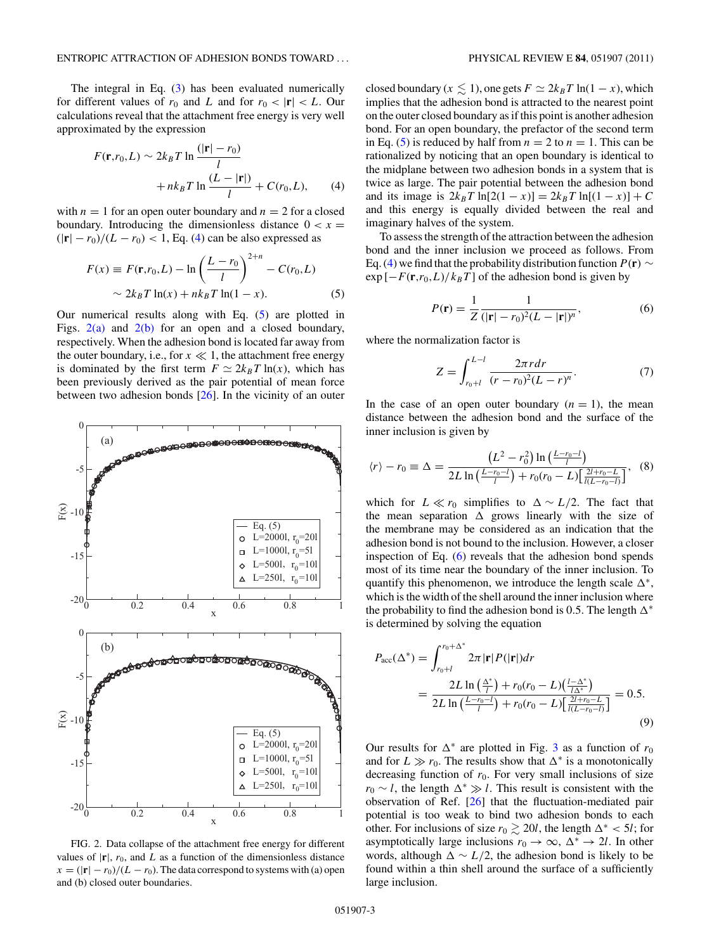<span id="page-2-0"></span>The integral in Eq. [\(3\)](#page-1-0) has been evaluated numerically for different values of  $r_0$  and *L* and for  $r_0 < |\mathbf{r}| < L$ . Our calculations reveal that the attachment free energy is very well approximated by the expression

$$
F(\mathbf{r}, r_0, L) \sim 2k_B T \ln \frac{(|\mathbf{r}| - r_0)}{l}
$$

$$
+ nk_B T \ln \frac{(L - |\mathbf{r}|)}{l} + C(r_0, L), \qquad (4)
$$

with  $n = 1$  for an open outer boundary and  $n = 2$  for a closed boundary. Introducing the dimensionless distance  $0 < x =$  $(|{\bf r}| - r_0)/(L - r_0) < 1$ , Eq. (4) can be also expressed as

$$
F(x) \equiv F(\mathbf{r}, r_0, L) - \ln \left( \frac{L - r_0}{l} \right)^{2+n} - C(r_0, L)
$$
  
~  $\sim 2k_B T \ln(x) + nk_B T \ln(1 - x).$  (5)

Our numerical results along with Eq. (5) are plotted in Figs.  $2(a)$  and  $2(b)$  for an open and a closed boundary, respectively. When the adhesion bond is located far away from the outer boundary, i.e., for  $x \ll 1$ , the attachment free energy is dominated by the first term  $F \simeq 2k_BT \ln(x)$ , which has been previously derived as the pair potential of mean force between two adhesion bonds [\[26\]](#page-5-0). In the vicinity of an outer



FIG. 2. Data collapse of the attachment free energy for different values of  $|\mathbf{r}|$ ,  $r_0$ , and *L* as a function of the dimensionless distance  $x = (|\mathbf{r}| - r_0)/(L - r_0)$ . The data correspond to systems with (a) open and (b) closed outer boundaries.

closed boundary ( $x \lesssim 1$ ), one gets  $F \simeq 2k_BT \ln(1-x)$ , which implies that the adhesion bond is attracted to the nearest point on the outer closed boundary as if this point is another adhesion bond. For an open boundary, the prefactor of the second term in Eq. (5) is reduced by half from  $n = 2$  to  $n = 1$ . This can be rationalized by noticing that an open boundary is identical to the midplane between two adhesion bonds in a system that is twice as large. The pair potential between the adhesion bond and its image is  $2k_BT \ln[2(1-x)] = 2k_BT \ln[(1-x)] + C$ and this energy is equally divided between the real and imaginary halves of the system.

To assess the strength of the attraction between the adhesion bond and the inner inclusion we proceed as follows. From Eq. (4) we find that the probability distribution function  $P(\mathbf{r}) \sim$  $\exp[-F(\mathbf{r},r_0,L)/k_BT]$  of the adhesion bond is given by

$$
P(\mathbf{r}) = \frac{1}{Z} \frac{1}{(|\mathbf{r}| - r_0)^2 (L - |\mathbf{r}|)^n},\tag{6}
$$

where the normalization factor is

$$
Z = \int_{r_0+l}^{L-l} \frac{2\pi r dr}{(r-r_0)^2 (L-r)^n}.
$$
 (7)

In the case of an open outer boundary  $(n = 1)$ , the mean distance between the adhesion bond and the surface of the inner inclusion is given by

$$
\langle r \rangle - r_0 \equiv \Delta = \frac{\left(L^2 - r_0^2\right) \ln\left(\frac{L - r_0 - l}{l}\right)}{2L \ln\left(\frac{L - r_0 - l}{l}\right) + r_0(r_0 - L)\left[\frac{2l + r_0 - L}{l(L - r_0 - l)}\right]}, \quad (8)
$$

which for  $L \ll r_0$  simplifies to  $\Delta \sim L/2$ . The fact that the mean separation  $\Delta$  grows linearly with the size of the membrane may be considered as an indication that the adhesion bond is not bound to the inclusion. However, a closer inspection of Eq. (6) reveals that the adhesion bond spends most of its time near the boundary of the inner inclusion. To quantify this phenomenon, we introduce the length scale  $\Delta^*$ , which is the width of the shell around the inner inclusion where the probability to find the adhesion bond is 0.5. The length  $\Delta^*$ is determined by solving the equation

$$
P_{\text{acc}}(\Delta^*) = \int_{r_0+l}^{r_0+\Delta^*} 2\pi |\mathbf{r}| P(|\mathbf{r}|) dr
$$
  
= 
$$
\frac{2L \ln\left(\frac{\Delta^*}{l}\right) + r_0(r_0 - L)\left(\frac{l-\Delta^*}{l\Delta^*}\right)}{2L \ln\left(\frac{L-r_0-l}{l}\right) + r_0(r_0 - L)\left[\frac{2l+r_0-L}{l(L-r_0-l)}\right]} = 0.5.
$$
 (9)

Our results for  $\Delta^*$  are plotted in Fig. [3](#page-3-0) as a function of  $r_0$ and for  $L \gg r_0$ . The results show that  $\Delta^*$  is a monotonically decreasing function of  $r_0$ . For very small inclusions of size  $r_0 \sim l$ , the length  $\Delta^* \gg l$ . This result is consistent with the observation of Ref. [\[26\]](#page-5-0) that the fluctuation-mediated pair potential is too weak to bind two adhesion bonds to each other. For inclusions of size  $r_0 \gtrsim 20l$ , the length  $\Delta^* < 5l$ ; for asymptotically large inclusions  $r_0 \to \infty$ ,  $\Delta^* \to 2l$ . In other words, although  $\Delta \sim L/2$ , the adhesion bond is likely to be found within a thin shell around the surface of a sufficiently large inclusion.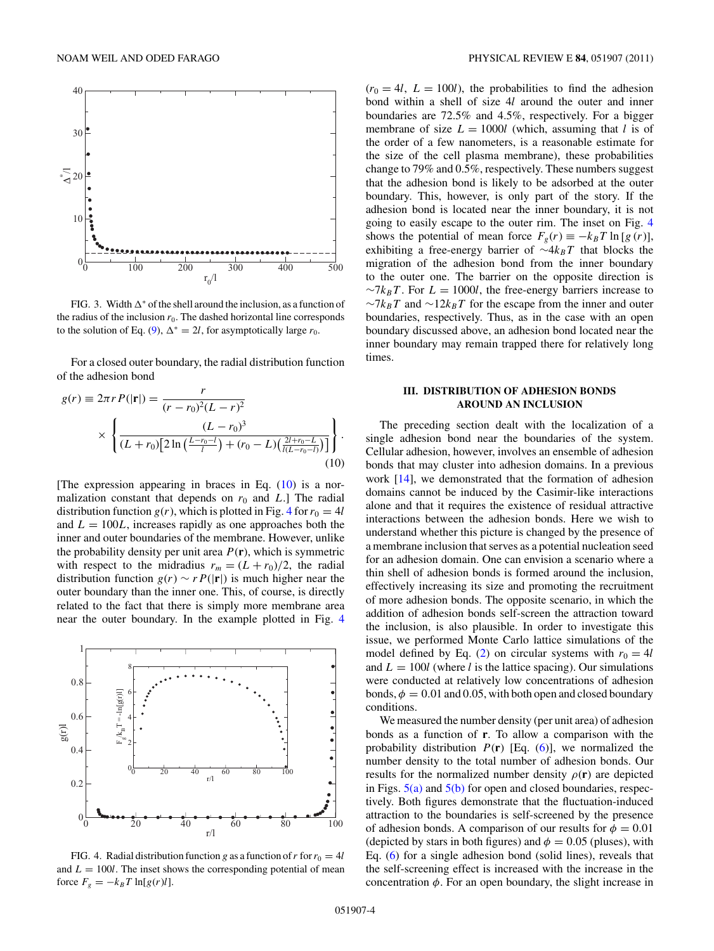<span id="page-3-0"></span>

FIG. 3. Width  $\Delta^*$  of the shell around the inclusion, as a function of the radius of the inclusion  $r_0$ . The dashed horizontal line corresponds to the solution of Eq. [\(9\)](#page-2-0),  $\Delta^* = 2l$ , for asymptotically large  $r_0$ .

For a closed outer boundary, the radial distribution function of the adhesion bond

$$
g(r) \equiv 2\pi r P(|\mathbf{r}|) = \frac{r}{(r - r_0)^2 (L - r)^2}
$$

$$
\times \left\{ \frac{(L - r_0)^3}{(L + r_0)[2 \ln\left(\frac{L - r_0 - l}{l}\right) + (r_0 - L)\left(\frac{2l + r_0 - L}{l(L - r_0 - l)}\right)]} \right\}.
$$
(10)

[The expression appearing in braces in Eq.  $(10)$  is a normalization constant that depends on  $r_0$  and  $L$ .] The radial distribution function  $g(r)$ , which is plotted in Fig. 4 for  $r_0 = 4l$ and  $L = 100L$ , increases rapidly as one approaches both the inner and outer boundaries of the membrane. However, unlike the probability density per unit area  $P(\mathbf{r})$ , which is symmetric with respect to the midradius  $r_m = (L + r_0)/2$ , the radial distribution function  $g(r) \sim r P(|\mathbf{r}|)$  is much higher near the outer boundary than the inner one. This, of course, is directly related to the fact that there is simply more membrane area near the outer boundary. In the example plotted in Fig. 4



FIG. 4. Radial distribution function *g* as a function of *r* for  $r_0 = 4l$ and  $L = 100l$ . The inset shows the corresponding potential of mean force  $F_g = -k_B T \ln[g(r)l].$ 

 $(r_0 = 4l, L = 100l)$ , the probabilities to find the adhesion bond within a shell of size 4*l* around the outer and inner boundaries are 72.5% and 4.5%, respectively. For a bigger membrane of size  $L = 1000l$  (which, assuming that *l* is of the order of a few nanometers, is a reasonable estimate for the size of the cell plasma membrane), these probabilities change to 79% and 0.5%, respectively. These numbers suggest that the adhesion bond is likely to be adsorbed at the outer boundary. This, however, is only part of the story. If the adhesion bond is located near the inner boundary, it is not going to easily escape to the outer rim. The inset on Fig. 4 shows the potential of mean force  $F_g(r) \equiv -k_B T \ln [g(r)]$ , exhibiting a free-energy barrier of  $\sim 4k_BT$  that blocks the migration of the adhesion bond from the inner boundary to the outer one. The barrier on the opposite direction is  $\sim$ 7 $k_B$ T. For  $L = 1000l$ , the free-energy barriers increase to  $\sim$ 7 $k_B T$  and  $\sim$ 12 $k_B T$  for the escape from the inner and outer boundaries, respectively. Thus, as in the case with an open boundary discussed above, an adhesion bond located near the inner boundary may remain trapped there for relatively long times.

# **III. DISTRIBUTION OF ADHESION BONDS AROUND AN INCLUSION**

The preceding section dealt with the localization of a single adhesion bond near the boundaries of the system. Cellular adhesion, however, involves an ensemble of adhesion bonds that may cluster into adhesion domains. In a previous work [\[14\]](#page-5-0), we demonstrated that the formation of adhesion domains cannot be induced by the Casimir-like interactions alone and that it requires the existence of residual attractive interactions between the adhesion bonds. Here we wish to understand whether this picture is changed by the presence of a membrane inclusion that serves as a potential nucleation seed for an adhesion domain. One can envision a scenario where a thin shell of adhesion bonds is formed around the inclusion, effectively increasing its size and promoting the recruitment of more adhesion bonds. The opposite scenario, in which the addition of adhesion bonds self-screen the attraction toward the inclusion, is also plausible. In order to investigate this issue, we performed Monte Carlo lattice simulations of the model defined by Eq. [\(2\)](#page-0-0) on circular systems with  $r_0 = 4l$ and  $L = 100l$  (where *l* is the lattice spacing). Our simulations were conducted at relatively low concentrations of adhesion bonds,  $\phi = 0.01$  and 0.05, with both open and closed boundary conditions.

We measured the number density (per unit area) of adhesion bonds as a function of **r**. To allow a comparison with the probability distribution  $P(r)$  [Eq. [\(6\)](#page-2-0)], we normalized the number density to the total number of adhesion bonds. Our results for the normalized number density  $\rho(\mathbf{r})$  are depicted in Figs.  $5(a)$  and  $5(b)$  for open and closed boundaries, respectively. Both figures demonstrate that the fluctuation-induced attraction to the boundaries is self-screened by the presence of adhesion bonds. A comparison of our results for  $\phi = 0.01$ (depicted by stars in both figures) and  $\phi = 0.05$  (pluses), with Eq. [\(6\)](#page-2-0) for a single adhesion bond (solid lines), reveals that the self-screening effect is increased with the increase in the concentration *φ*. For an open boundary, the slight increase in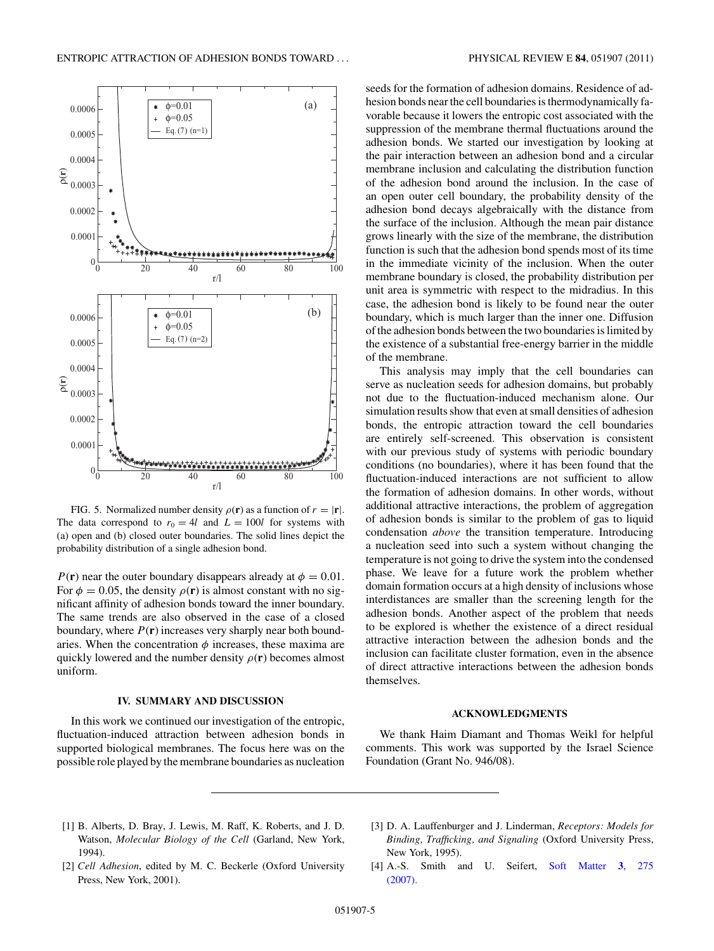<span id="page-4-0"></span>

FIG. 5. Normalized number density  $\rho(\mathbf{r})$  as a function of  $r = |\mathbf{r}|$ . The data correspond to  $r_0 = 4l$  and  $L = 100l$  for systems with (a) open and (b) closed outer boundaries. The solid lines depict the probability distribution of a single adhesion bond.

*P*(**r**) near the outer boundary disappears already at  $\phi = 0.01$ . For  $\phi = 0.05$ , the density  $\rho(\mathbf{r})$  is almost constant with no significant affinity of adhesion bonds toward the inner boundary. The same trends are also observed in the case of a closed boundary, where  $P(r)$  increases very sharply near both boundaries. When the concentration  $\phi$  increases, these maxima are quickly lowered and the number density  $\rho(\mathbf{r})$  becomes almost uniform.

#### **IV. SUMMARY AND DISCUSSION**

In this work we continued our investigation of the entropic, fluctuation-induced attraction between adhesion bonds in supported biological membranes. The focus here was on the possible role played by the membrane boundaries as nucleation

seeds for the formation of adhesion domains. Residence of adhesion bonds near the cell boundaries is thermodynamically favorable because it lowers the entropic cost associated with the suppression of the membrane thermal fluctuations around the adhesion bonds. We started our investigation by looking at the pair interaction between an adhesion bond and a circular membrane inclusion and calculating the distribution function of the adhesion bond around the inclusion. In the case of an open outer cell boundary, the probability density of the adhesion bond decays algebraically with the distance from the surface of the inclusion. Although the mean pair distance grows linearly with the size of the membrane, the distribution function is such that the adhesion bond spends most of its time in the immediate vicinity of the inclusion. When the outer membrane boundary is closed, the probability distribution per unit area is symmetric with respect to the midradius. In this case, the adhesion bond is likely to be found near the outer boundary, which is much larger than the inner one. Diffusion of the adhesion bonds between the two boundaries is limited by the existence of a substantial free-energy barrier in the middle of the membrane.

This analysis may imply that the cell boundaries can serve as nucleation seeds for adhesion domains, but probably not due to the fluctuation-induced mechanism alone. Our simulation results show that even at small densities of adhesion bonds, the entropic attraction toward the cell boundaries are entirely self-screened. This observation is consistent with our previous study of systems with periodic boundary conditions (no boundaries), where it has been found that the fluctuation-induced interactions are not sufficient to allow the formation of adhesion domains. In other words, without additional attractive interactions, the problem of aggregation of adhesion bonds is similar to the problem of gas to liquid condensation *above* the transition temperature. Introducing a nucleation seed into such a system without changing the temperature is not going to drive the system into the condensed phase. We leave for a future work the problem whether domain formation occurs at a high density of inclusions whose interdistances are smaller than the screening length for the adhesion bonds. Another aspect of the problem that needs to be explored is whether the existence of a direct residual attractive interaction between the adhesion bonds and the inclusion can facilitate cluster formation, even in the absence of direct attractive interactions between the adhesion bonds themselves.

### **ACKNOWLEDGMENTS**

We thank Haim Diamant and Thomas Weikl for helpful comments. This work was supported by the Israel Science Foundation (Grant No. 946/08).

- [1] B. Alberts, D. Bray, J. Lewis, M. Raff, K. Roberts, and J. D. Watson, *Molecular Biology of the Cell* (Garland, New York, 1994).
- [2] *Cell Adhesion*, edited by M. C. Beckerle (Oxford University Press, New York, 2001).
- [3] D. A. Lauffenburger and J. Linderman, *Receptors: Models for Binding, Trafficking, and Signaling* (Oxford University Press, New York, 1995).
	- [4] A.-S. Smith and U. Seifert, [Soft Matter](http://dx.doi.org/10.1039/b611892e) **3**, 275 [\(2007\).](http://dx.doi.org/10.1039/b611892e)